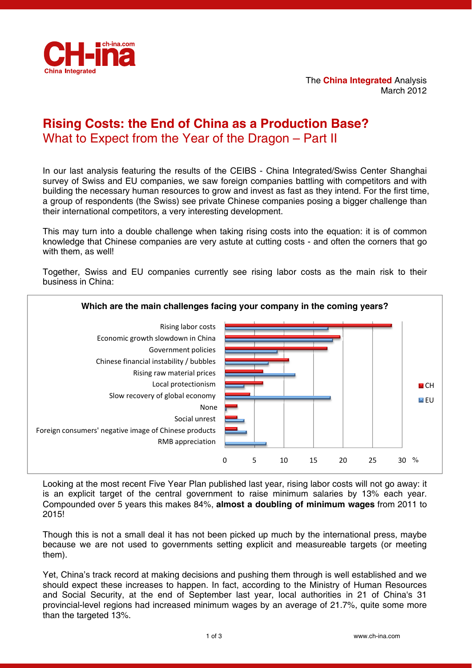

## **Rising Costs: the End of China as a Production Base?**  What to Expect from the Year of the Dragon – Part II

In our last analysis featuring the results of the CEIBS - China Integrated/Swiss Center Shanghai survey of Swiss and EU companies, we saw foreign companies battling with competitors and with building the necessary human resources to grow and invest as fast as they intend. For the first time, a group of respondents (the Swiss) see private Chinese companies posing a bigger challenge than their international competitors, a very interesting development.

This may turn into a double challenge when taking rising costs into the equation: it is of common knowledge that Chinese companies are very astute at cutting costs - and often the corners that go with them, as well!

Together, Swiss and EU companies currently see rising labor costs as the main risk to their business in China:



Looking at the most recent Five Year Plan published last year, rising labor costs will not go away: it is an explicit target of the central government to raise minimum salaries by 13% each year. Compounded over 5 years this makes 84%, **almost a doubling of minimum wages** from 2011 to 2015!

Though this is not a small deal it has not been picked up much by the international press, maybe because we are not used to governments setting explicit and measureable targets (or meeting them).

Yet, China's track record at making decisions and pushing them through is well established and we should expect these increases to happen. In fact, according to the Ministry of Human Resources and Social Security, at the end of September last year, local authorities in 21 of China's 31 provincial-level regions had increased minimum wages by an average of 21.7%, quite some more than the targeted 13%.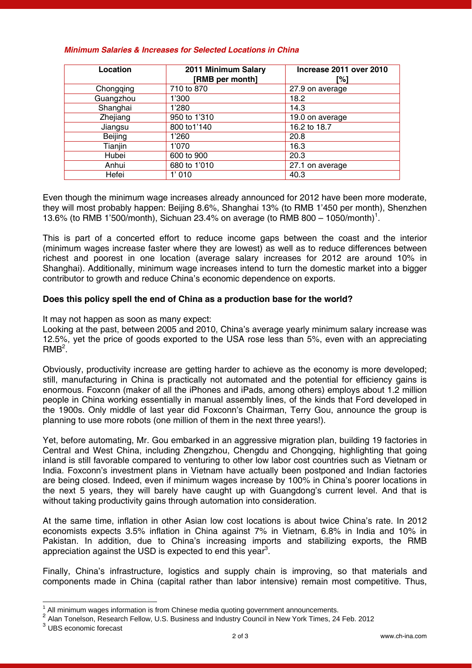## *Minimum Salaries & Increases for Selected Locations in China*

| Location       | 2011 Minimum Salary<br>[RMB per month] | Increase 2011 over 2010<br>[%] |
|----------------|----------------------------------------|--------------------------------|
| Chongqing      | 710 to 870                             | 27.9 on average                |
| Guangzhou      | 1'300                                  | 18.2                           |
| Shanghai       | 1'280                                  | 14.3                           |
| Zhejiang       | 950 to 1'310                           | 19.0 on average                |
| Jiangsu        | 800 to1'140                            | 16.2 to 18.7                   |
| <b>Beijing</b> | 1'260                                  | 20.8                           |
| Tianjin        | 1'070                                  | 16.3                           |
| Hubei          | 600 to 900                             | 20.3                           |
| Anhui          | 680 to 1'010                           | 27.1 on average                |
| Hefei          | 1'010                                  | 40.3                           |

Even though the minimum wage increases already announced for 2012 have been more moderate, they will most probably happen: Beijing 8.6%, Shanghai 13% (to RMB 1'450 per month), Shenzhen 13.6% (to RMB 1'500/month), Sichuan 23.4% on average (to RMB 800 – 1050/month)<sup>1</sup>.

This is part of a concerted effort to reduce income gaps between the coast and the interior (minimum wages increase faster where they are lowest) as well as to reduce differences between richest and poorest in one location (average salary increases for 2012 are around 10% in Shanghai). Additionally, minimum wage increases intend to turn the domestic market into a bigger contributor to growth and reduce China's economic dependence on exports.

## **Does this policy spell the end of China as a production base for the world?**

It may not happen as soon as many expect:

Looking at the past, between 2005 and 2010, China's average yearly minimum salary increase was 12.5%, yet the price of goods exported to the USA rose less than 5%, even with an appreciating  $RMB<sup>2</sup>$ .

Obviously, productivity increase are getting harder to achieve as the economy is more developed; still, manufacturing in China is practically not automated and the potential for efficiency gains is enormous. Foxconn (maker of all the iPhones and iPads, among others) employs about 1.2 million people in China working essentially in manual assembly lines, of the kinds that Ford developed in the 1900s. Only middle of last year did Foxconn's Chairman, Terry Gou, announce the group is planning to use more robots (one million of them in the next three years!).

Yet, before automating, Mr. Gou embarked in an aggressive migration plan, building 19 factories in Central and West China, including Zhengzhou, Chengdu and Chongqing, highlighting that going inland is still favorable compared to venturing to other low labor cost countries such as Vietnam or India. Foxconn's investment plans in Vietnam have actually been postponed and Indian factories are being closed. Indeed, even if minimum wages increase by 100% in China's poorer locations in the next 5 years, they will barely have caught up with Guangdong's current level. And that is without taking productivity gains through automation into consideration.

At the same time, inflation in other Asian low cost locations is about twice China's rate. In 2012 economists expects 3.5% inflation in China against 7% in Vietnam, 6.8% in India and 10% in Pakistan. In addition, due to China's increasing imports and stabilizing exports, the RMB appreciation against the USD is expected to end this year<sup>3</sup>.

Finally, China's infrastructure, logistics and supply chain is improving, so that materials and components made in China (capital rather than labor intensive) remain most competitive. Thus,

-

 $<sup>1</sup>$  All minimum wages information is from Chinese media quoting government announcements.</sup>

<sup>2</sup> Ali minimum wayes information to treat connects the algebra persing of the United States and Industry Council in New York Times, 24 Feb. 2012

<sup>3</sup> UBS economic forecast